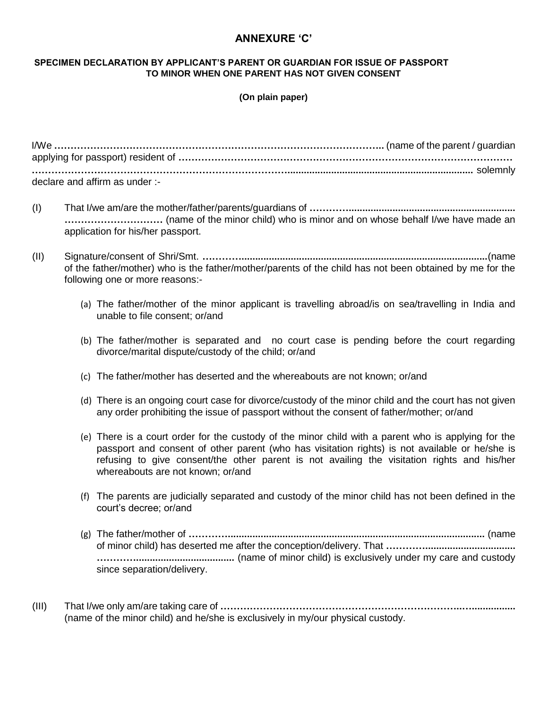## **ANNEXURE 'C'**

## **SPECIMEN DECLARATION BY APPLICANT'S PARENT OR GUARDIAN FOR ISSUE OF PASSPORT TO MINOR WHEN ONE PARENT HAS NOT GIVEN CONSENT**

## **(On plain paper)**

| declare and affirm as under :- |  |
|--------------------------------|--|

- (I) That I/we am/are the mother/father/parents/guardians of **…………............................................................. …………………………** (name of the minor child) who is minor and on whose behalf I/we have made an application for his/her passport.
- (II) Signature/consent of Shri/Smt. **…………..........................................................................................**(name of the father/mother) who is the father/mother/parents of the child has not been obtained by me for the following one or more reasons:-
	- (a) The father/mother of the minor applicant is travelling abroad/is on sea/travelling in India and unable to file consent; or/and
	- (b) The father/mother is separated and no court case is pending before the court regarding divorce/marital dispute/custody of the child; or/and
	- (c) The father/mother has deserted and the whereabouts are not known; or/and
	- (d) There is an ongoing court case for divorce/custody of the minor child and the court has not given any order prohibiting the issue of passport without the consent of father/mother; or/and
	- (e) There is a court order for the custody of the minor child with a parent who is applying for the passport and consent of other parent (who has visitation rights) is not available or he/she is refusing to give consent/the other parent is not availing the visitation rights and his/her whereabouts are not known; or/and
	- (f) The parents are judicially separated and custody of the minor child has not been defined in the court's decree; or/and
	- (g) The father/mother of **…………..............................................................................................** (name of minor child) has deserted me after the conception/delivery. That **…………................................. …………....................................** (name of minor child) is exclusively under my care and custody since separation/delivery.
- (III) That I/we only am/are taking care of **………………………………………………………………..…................** (name of the minor child) and he/she is exclusively in my/our physical custody.